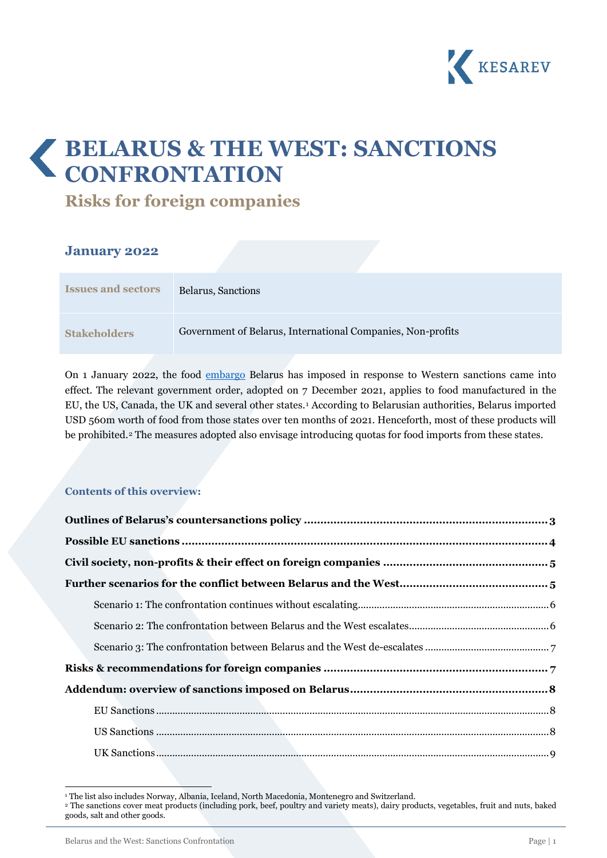

# **BELARUS & THE WEST: SANCTIONS CONFRONTATION**

**Risks for foreign companies**

### **January 2022**

| <b>Issues and sectors</b> | Belarus, Sanctions                                          |
|---------------------------|-------------------------------------------------------------|
| <b>Stakeholders</b>       | Government of Belarus, International Companies, Non-profits |

On 1 January 2022, the food [embargo](https://pravo.by/document/?guid=12551&p0=C22100700&p1=1&p5=0) Belarus has imposed in response to Western sanctions came into effect. The relevant government order, adopted on 7 December 2021, applies to food manufactured in the EU, the US, Canada, the UK and several other states.[1](#page-0-0) According to Belarusian authorities, Belarus imported USD 560m worth of food from those states over ten months of 2021. Henceforth, most of these products will be prohibited.<sup>[2](#page-0-1)</sup> The measures adopted also envisage introducing quotas for food imports from these states.

### **Contents of this overview:**

<span id="page-0-1"></span><span id="page-0-0"></span><sup>2</sup> The sanctions cover meat products (including pork, beef, poultry and variety meats), dairy products, vegetables, fruit and nuts, baked goods, salt and other goods.

<sup>&</sup>lt;sup>1</sup> The list also includes Norway, Albania, Iceland, North Macedonia, Montenegro and Switzerland.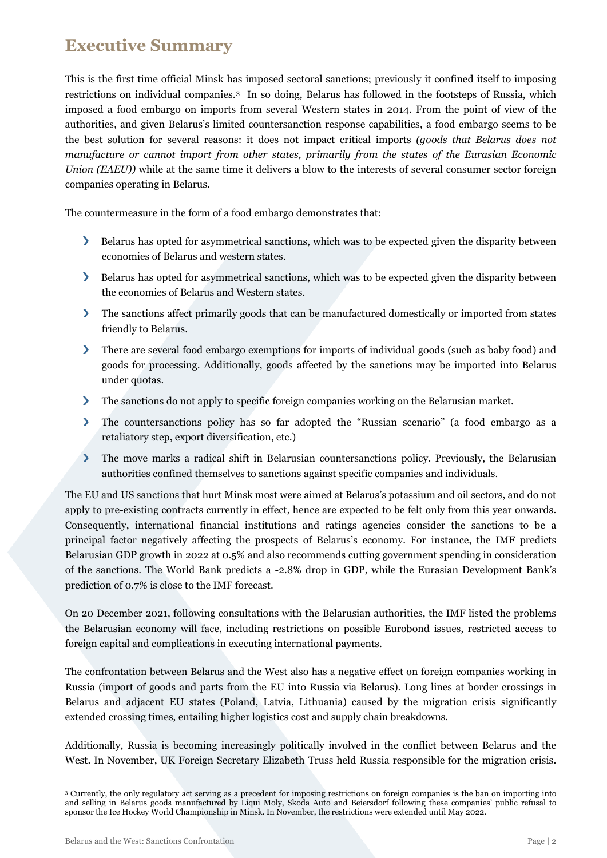# **Executive Summary**

This is the first time official Minsk has imposed sectoral sanctions; previously it confined itself to imposing restrictions on individual companies.[3](#page-1-0) In so doing, Belarus has followed in the footsteps of Russia, which imposed a food embargo on imports from several Western states in 2014. From the point of view of the authorities, and given Belarus's limited countersanction response capabilities, a food embargo seems to be the best solution for several reasons: it does not impact critical imports *(goods that Belarus does not manufacture or cannot import from other states, primarily from the states of the Eurasian Economic Union (EAEU)*) while at the same time it delivers a blow to the interests of several consumer sector foreign companies operating in Belarus.

The countermeasure in the form of a food embargo demonstrates that:

- Belarus has opted for asymmetrical sanctions, which was to be expected given the disparity between economies of Belarus and western states.
- Belarus has opted for asymmetrical sanctions, which was to be expected given the disparity between the economies of Belarus and Western states.
- The sanctions affect primarily goods that can be manufactured domestically or imported from states friendly to Belarus.
- There are several food embargo exemptions for imports of individual goods (such as baby food) and goods for processing. Additionally, goods affected by the sanctions may be imported into Belarus under quotas.
- $\sum$ The sanctions do not apply to specific foreign companies working on the Belarusian market.
- The countersanctions policy has so far adopted the "Russian scenario" (a food embargo as a  $\sum$ retaliatory step, export diversification, etc.)
- $\sum$ The move marks a radical shift in Belarusian countersanctions policy. Previously, the Belarusian authorities confined themselves to sanctions against specific companies and individuals.

The EU and US sanctions that hurt Minsk most were aimed at Belarus's potassium and oil sectors, and do not apply to pre-existing contracts currently in effect, hence are expected to be felt only from this year onwards. Consequently, international financial institutions and ratings agencies consider the sanctions to be a principal factor negatively affecting the prospects of Belarus's economy. For instance, the IMF predicts Belarusian GDP growth in 2022 at 0.5% and also recommends cutting government spending in consideration of the sanctions. The World Bank predicts a -2.8% drop in GDP, while the Eurasian Development Bank's prediction of 0.7% is close to the IMF forecast.

On 20 December 2021, following consultations with the Belarusian authorities, the IMF listed the problems the Belarusian economy will face, including restrictions on possible Eurobond issues, restricted access to foreign capital and complications in executing international payments.

The confrontation between Belarus and the West also has a negative effect on foreign companies working in Russia (import of goods and parts from the EU into Russia via Belarus). Long lines at border crossings in Belarus and adjacent EU states (Poland, Latvia, Lithuania) caused by the migration crisis significantly extended crossing times, entailing higher logistics cost and supply chain breakdowns.

Additionally, Russia is becoming increasingly politically involved in the conflict between Belarus and the West. In November, UK Foreign Secretary Elizabeth Truss held Russia responsible for the migration crisis.

<span id="page-1-0"></span><sup>&</sup>lt;sup>3</sup> Currently, the only regulatory act serving as a precedent for imposing restrictions on foreign companies is the ban on importing into and selling in Belarus goods manufactured by Liqui Moly, Skoda Auto and Beiersdorf following these companies' public refusal to sponsor the Ice Hockey World Championship in Minsk. In November, the restrictions were extended until May 2022.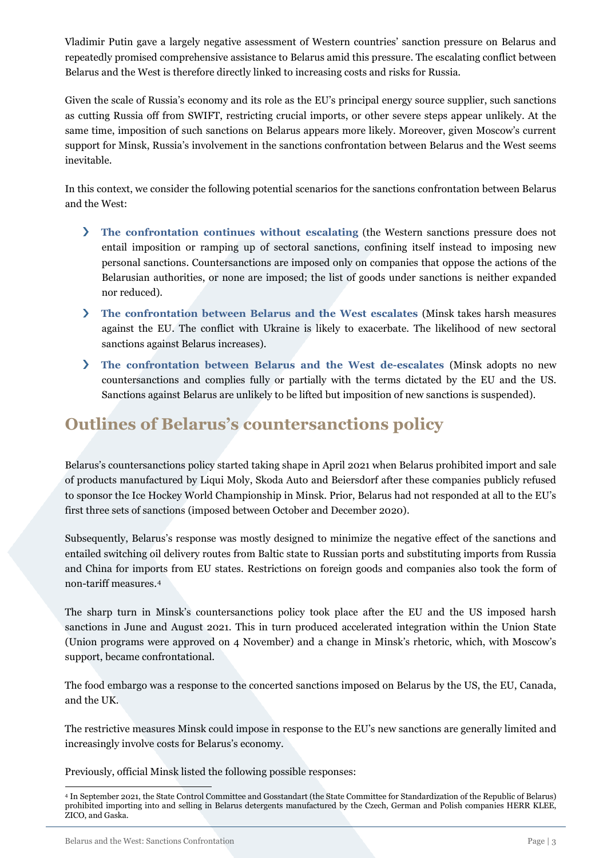Vladimir Putin gave a largely negative assessment of Western countries' sanction pressure on Belarus and repeatedly promised comprehensive assistance to Belarus amid this pressure. The escalating conflict between Belarus and the West is therefore directly linked to increasing costs and risks for Russia.

Given the scale of Russia's economy and its role as the EU's principal energy source supplier, such sanctions as cutting Russia off from SWIFT, restricting crucial imports, or other severe steps appear unlikely. At the same time, imposition of such sanctions on Belarus appears more likely. Moreover, given Moscow's current support for Minsk, Russia's involvement in the sanctions confrontation between Belarus and the West seems inevitable.

In this context, we consider the following potential scenarios for the sanctions confrontation between Belarus and the West:

- **The confrontation continues without escalating** (the Western sanctions pressure does not entail imposition or ramping up of sectoral sanctions, confining itself instead to imposing new personal sanctions. Countersanctions are imposed only on companies that oppose the actions of the Belarusian authorities, or none are imposed; the list of goods under sanctions is neither expanded nor reduced).
- **The confrontation between Belarus and the West escalates** (Minsk takes harsh measures against the EU. The conflict with Ukraine is likely to exacerbate. The likelihood of new sectoral sanctions against Belarus increases).
- **The confrontation between Belarus and the West de-escalates** (Minsk adopts no new countersanctions and complies fully or partially with the terms dictated by the EU and the US. Sanctions against Belarus are unlikely to be lifted but imposition of new sanctions is suspended).

# <span id="page-2-0"></span>**Outlines of Belarus's countersanctions policy**

Belarus's countersanctions policy started taking shape in April 2021 when Belarus prohibited import and sale of products manufactured by Liqui Moly, Skoda Auto and Beiersdorf after these companies publicly refused to sponsor the Ice Hockey World Championship in Minsk. Prior, Belarus had not responded at all to the EU's first three sets of sanctions (imposed between October and December 2020).

Subsequently, Belarus's response was mostly designed to minimize the negative effect of the sanctions and entailed switching oil delivery routes from Baltic state to Russian ports and substituting imports from Russia and China for imports from EU states. Restrictions on foreign goods and companies also took the form of non-tariff measures.[4](#page-2-1)

The sharp turn in Minsk's countersanctions policy took place after the EU and the US imposed harsh sanctions in June and August 2021. This in turn produced accelerated integration within the Union State (Union programs were approved on 4 November) and a change in Minsk's rhetoric, which, with Moscow's support, became confrontational.

The food embargo was a response to the concerted sanctions imposed on Belarus by the US, the EU, Canada, and the UK.

The restrictive measures Minsk could impose in response to the EU's new sanctions are generally limited and increasingly involve costs for Belarus's economy.

Previously, official Minsk listed the following possible responses:

<span id="page-2-1"></span><sup>4</sup> In September 2021, the State Control Committee and Gosstandart (the State Committee for Standardization of the Republic of Belarus) prohibited importing into and selling in Belarus detergents manufactured by the Czech, German and Polish companies HERR KLEE, ZICO, and Gaska.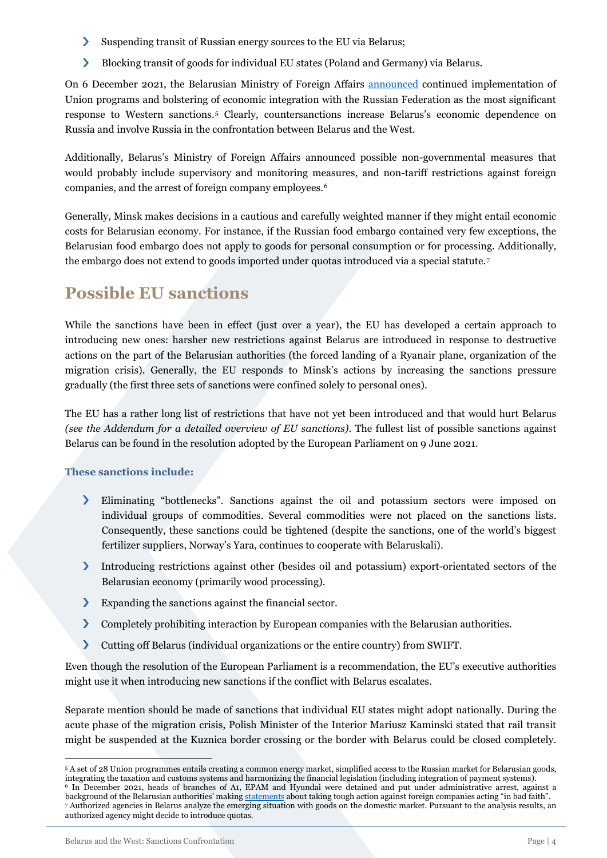- $\sum$ Suspending transit of Russian energy sources to the EU via Belarus;
- $\sum$ Blocking transit of goods for individual EU states (Poland and Germany) via Belarus.

On 6 December 2021, the Belarusian Ministry of Foreign Affairs [announced](https://mfa.gov.by/press/news_mfa/e09607cfe7591a5e.html) continued implementation of Union programs and bolstering of economic integration with the Russian Federation as the most significant response to Western sanctions.[5](#page-3-1) Clearly, countersanctions increase Belarus's economic dependence on Russia and involve Russia in the confrontation between Belarus and the West.

Additionally, Belarus's Ministry of Foreign Affairs announced possible non-governmental measures that would probably include supervisory and monitoring measures, and non-tariff restrictions against foreign companies, and the arrest of foreign company employees.[6](#page-3-2)

Generally, Minsk makes decisions in a cautious and carefully weighted manner if they might entail economic costs for Belarusian economy. For instance, if the Russian food embargo contained very few exceptions, the Belarusian food embargo does not apply to goods for personal consumption or for processing. Additionally, the embargo does not extend to goods imported under quotas introduced via a special statute.[7](#page-3-3)

# <span id="page-3-0"></span>**Possible EU sanctions**

While the sanctions have been in effect (just over a year), the EU has developed a certain approach to introducing new ones: harsher new restrictions against Belarus are introduced in response to destructive actions on the part of the Belarusian authorities (the forced landing of a Ryanair plane, organization of the migration crisis). Generally, the EU responds to Minsk's actions by increasing the sanctions pressure gradually (the first three sets of sanctions were confined solely to personal ones).

The EU has a rather long list of restrictions that have not yet been introduced and that would hurt Belarus *(see the Addendum for a detailed overview of EU sanctions)*. The fullest list of possible sanctions against Belarus can be found in the resolution adopted by the European Parliament on 9 June 2021.

### **These sanctions include:**

- $\sum$ Eliminating "bottlenecks". Sanctions against the oil and potassium sectors were imposed on individual groups of commodities. Several commodities were not placed on the sanctions lists. Consequently, these sanctions could be tightened (despite the sanctions, one of the world's biggest fertilizer suppliers, Norway's Yara, continues to cooperate with Belaruskali).
- Introducing restrictions against other (besides oil and potassium) export-orientated sectors of the Belarusian economy (primarily wood processing).
- $\sum$ Expanding the sanctions against the financial sector.
- $\sum_{i=1}^{n}$ Completely prohibiting interaction by European companies with the Belarusian authorities.
- $\overline{\phantom{0}}$ Cutting off Belarus (individual organizations or the entire country) from SWIFT.

Even though the resolution of the European Parliament is a recommendation, the EU's executive authorities might use it when introducing new sanctions if the conflict with Belarus escalates.

Separate mention should be made of sanctions that individual EU states might adopt nationally. During the acute phase of the migration crisis, Polish Minister of the Interior Mariusz Kaminski stated that rail transit might be suspended at the Kuznica border crossing or the border with Belarus could be closed completely.

<span id="page-3-3"></span><span id="page-3-2"></span><span id="page-3-1"></span><sup>5</sup> A set of 28 Union programmes entails creating a common energy market, simplified access to the Russian market for Belarusian goods, integrating the taxation and customs systems and harmonizing the financial legislation (including integration of payment systems). <sup>6</sup> In December 2021, heads of branches of A1, EPAM and Hyundai were detained and put under administrative arrest, against a background of the Belarusian authorities' makin[g statements](https://www.belta.by/society/view/lutskij-prezident-dal-poruchenie-provesti-otsenku-dejstvij-kompanii-a1-i-prinjat-samye-zhestkie-mery-475581-2021/) about taking tough action against foreign companies acting "in bad faith". <sup>7</sup> Authorized agencies in Belarus analyze the emerging situation with goods on the domestic market. Pursuant to the analysis results, an authorized agency might decide to introduce quotas.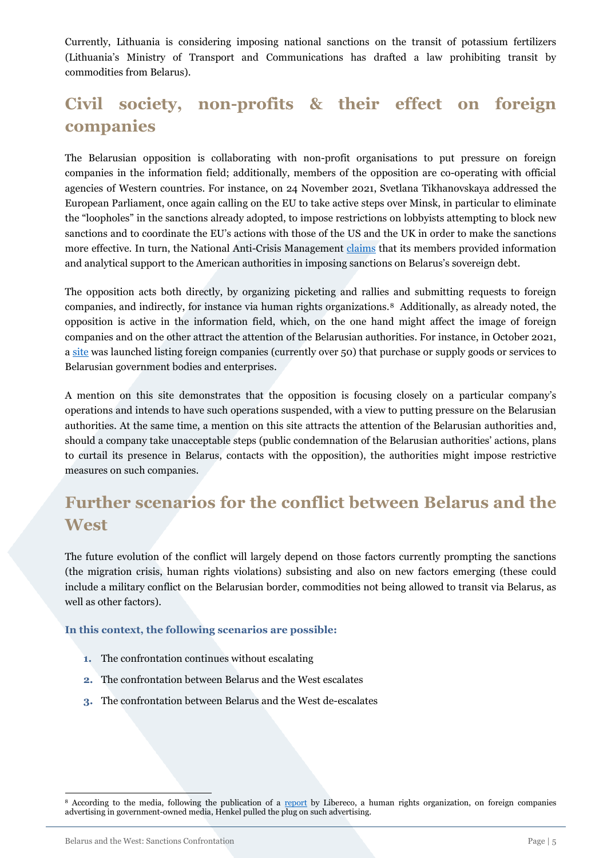Currently, Lithuania is considering imposing national sanctions on the transit of potassium fertilizers (Lithuania's Ministry of Transport and Communications has drafted a law prohibiting transit by commodities from Belarus).

# <span id="page-4-0"></span>**Civil society, non-profits & their effect on foreign companies**

The Belarusian opposition is collaborating with non-profit organisations to put pressure on foreign companies in the information field; additionally, members of the opposition are co-operating with official agencies of Western countries. For instance, on 24 November 2021, Svetlana Tikhanovskaya addressed the European Parliament, once again calling on the EU to take active steps over Minsk, in particular to eliminate the "loopholes" in the sanctions already adopted, to impose restrictions on lobbyists attempting to block new sanctions and to coordinate the EU's actions with those of the US and the UK in order to make the sanctions more effective. In turn, the National Anti-Crisis Management [claims](https://www.youtube.com/watch?v=XZ4jCz8kZYk) that its members provided information and analytical support to the American authorities in imposing sanctions on Belarus's sovereign debt.

The opposition acts both directly, by organizing picketing and rallies and submitting requests to foreign companies, and indirectly, for instance via human rights organizations.[8](#page-4-2) Additionally, as already noted, the opposition is active in the information field, which, on the one hand might affect the image of foreign companies and on the other attract the attention of the Belarusian authorities. For instance, in October 2021, a [site](https://belarus2020.info/) was launched listing foreign companies (currently over 50) that purchase or supply goods or services to Belarusian government bodies and enterprises.

A mention on this site demonstrates that the opposition is focusing closely on a particular company's operations and intends to have such operations suspended, with a view to putting pressure on the Belarusian authorities. At the same time, a mention on this site attracts the attention of the Belarusian authorities and, should a company take unacceptable steps (public condemnation of the Belarusian authorities' actions, plans to curtail its presence in Belarus, contacts with the opposition), the authorities might impose restrictive measures on such companies.

# <span id="page-4-1"></span>**Further scenarios for the conflict between Belarus and the West**

The future evolution of the conflict will largely depend on those factors currently prompting the sanctions (the migration crisis, human rights violations) subsisting and also on new factors emerging (these could include a military conflict on the Belarusian border, commodities not being allowed to transit via Belarus, as well as other factors).

#### **In this context, the following scenarios are possible:**

- **1.** The confrontation continues without escalating
- **2.** The confrontation between Belarus and the West escalates
- **3.** The confrontation between Belarus and the West de-escalates

<span id="page-4-2"></span><sup>&</sup>lt;sup>8</sup> According to the media, following the publication of a [report](https://www.lphr.org/en/westliche-unternehmen-werbung-staatsfernsehen-belarus/) by Libereco, a human rights organization, on foreign companies advertising in government-owned media, Henkel pulled the plug on such advertising.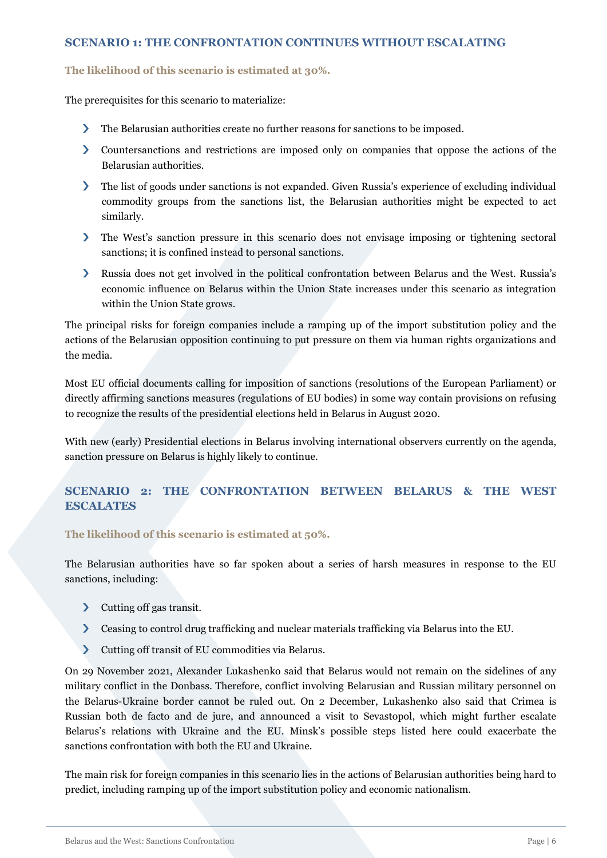### <span id="page-5-0"></span>**SCENARIO 1: THE CONFRONTATION CONTINUES WITHOUT ESCALATING**

#### **The likelihood of this scenario is estimated at 30%.**

The prerequisites for this scenario to materialize:

- $\sum_{i=1}^{n}$ The Belarusian authorities create no further reasons for sanctions to be imposed.
- Countersanctions and restrictions are imposed only on companies that oppose the actions of the Belarusian authorities.
- The list of goods under sanctions is not expanded. Given Russia's experience of excluding individual commodity groups from the sanctions list, the Belarusian authorities might be expected to act similarly.
- The West's sanction pressure in this scenario does not envisage imposing or tightening sectoral sanctions; it is confined instead to personal sanctions.
- Russia does not get involved in the political confrontation between Belarus and the West. Russia's economic influence on Belarus within the Union State increases under this scenario as integration within the Union State grows.

The principal risks for foreign companies include a ramping up of the import substitution policy and the actions of the Belarusian opposition continuing to put pressure on them via human rights organizations and the media.

Most EU official documents calling for imposition of sanctions (resolutions of the European Parliament) or directly affirming sanctions measures (regulations of EU bodies) in some way contain provisions on refusing to recognize the results of the presidential elections held in Belarus in August 2020.

With new (early) Presidential elections in Belarus involving international observers currently on the agenda, sanction pressure on Belarus is highly likely to continue.

# <span id="page-5-1"></span>**SCENARIO 2: THE CONFRONTATION BETWEEN BELARUS & THE WEST ESCALATES**

#### **The likelihood of this scenario is estimated at 50%.**

The Belarusian authorities have so far spoken about a series of harsh measures in response to the EU sanctions, including:

- > Cutting off gas transit.
- $\sum$ Ceasing to control drug trafficking and nuclear materials trafficking via Belarus into the EU.
- $\sum$ Cutting off transit of EU commodities via Belarus.

On 29 November 2021, Alexander Lukashenko said that Belarus would not remain on the sidelines of any military conflict in the Donbass. Therefore, conflict involving Belarusian and Russian military personnel on the Belarus-Ukraine border cannot be ruled out. On 2 December, Lukashenko also said that Crimea is Russian both de facto and de jure, and announced a visit to Sevastopol, which might further escalate Belarus's relations with Ukraine and the EU. Minsk's possible steps listed here could exacerbate the sanctions confrontation with both the EU and Ukraine.

The main risk for foreign companies in this scenario lies in the actions of Belarusian authorities being hard to predict, including ramping up of the import substitution policy and economic nationalism.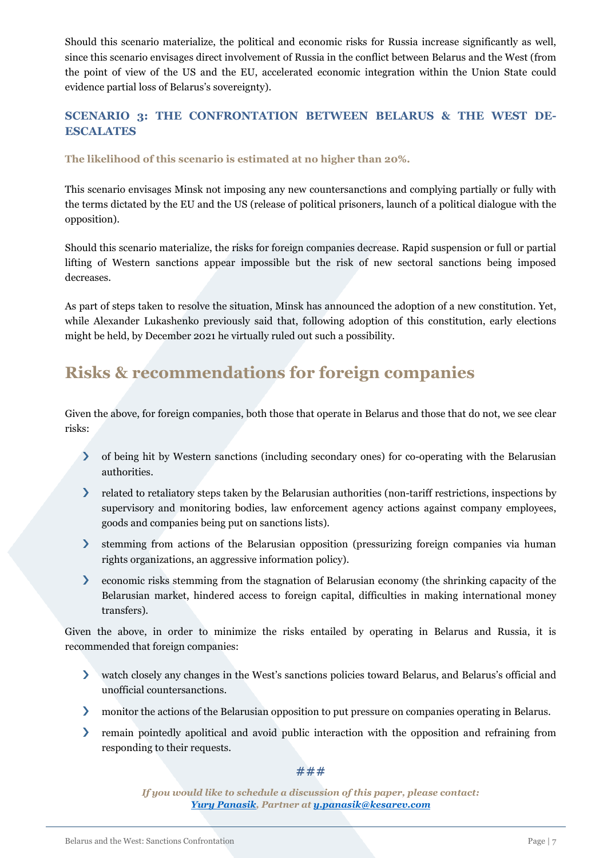Should this scenario materialize, the political and economic risks for Russia increase significantly as well, since this scenario envisages direct involvement of Russia in the conflict between Belarus and the West (from the point of view of the US and the EU, accelerated economic integration within the Union State could evidence partial loss of Belarus's sovereignty).

### <span id="page-6-0"></span>**SCENARIO 3: THE CONFRONTATION BETWEEN BELARUS & THE WEST DE-ESCALATES**

### **The likelihood of this scenario is estimated at no higher than 20%.**

This scenario envisages Minsk not imposing any new countersanctions and complying partially or fully with the terms dictated by the EU and the US (release of political prisoners, launch of a political dialogue with the opposition).

Should this scenario materialize, the risks for foreign companies decrease. Rapid suspension or full or partial lifting of Western sanctions appear impossible but the risk of new sectoral sanctions being imposed decreases.

As part of steps taken to resolve the situation, Minsk has announced the adoption of a new constitution. Yet, while Alexander Lukashenko previously said that, following adoption of this constitution, early elections might be held, by December 2021 he virtually ruled out such a possibility.

# <span id="page-6-1"></span>**Risks & recommendations for foreign companies**

Given the above, for foreign companies, both those that operate in Belarus and those that do not, we see clear risks:

- $\sum$ of being hit by Western sanctions (including secondary ones) for co-operating with the Belarusian authorities.
- related to retaliatory steps taken by the Belarusian authorities (non-tariff restrictions, inspections by supervisory and monitoring bodies, law enforcement agency actions against company employees, goods and companies being put on sanctions lists).
- stemming from actions of the Belarusian opposition (pressurizing foreign companies via human rights organizations, an aggressive information policy).
- $\sum$ economic risks stemming from the stagnation of Belarusian economy (the shrinking capacity of the Belarusian market, hindered access to foreign capital, difficulties in making international money transfers).

Given the above, in order to minimize the risks entailed by operating in Belarus and Russia, it is recommended that foreign companies:

- watch closely any changes in the West's sanctions policies toward Belarus, and Belarus's official and unofficial countersanctions.
- monitor the actions of the Belarusian opposition to put pressure on companies operating in Belarus.
- $\sum$ remain pointedly apolitical and avoid public interaction with the opposition and refraining from responding to their requests.

#### **###**

*If you would like to schedule a discussion of this paper, please contact: [Yury Panasik,](https://kesarev.partners/ypanasik) Partner a[t y.panasik@kesarev.com](mailto:y.panasik@kesarev.com)*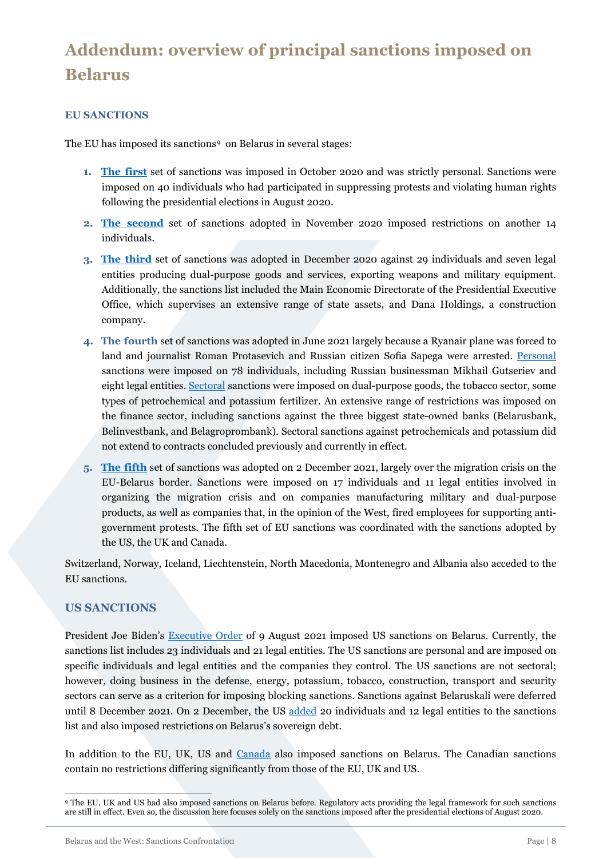# <span id="page-7-0"></span>**Addendum: overview of principal sanctions imposed on Belarus**

### <span id="page-7-1"></span>**EU SANCTIONS**

The EU has imposed its sanctions<sup>[9](#page-7-3)</sup> on Belarus in several stages:

- **1. [The first](https://eur-lex.europa.eu/legal-content/en/TXT/PDF/?uri=OJ:L:2020:319I:FULL&from=EN)** set of sanctions was imposed in October 2020 and was strictly personal. Sanctions were imposed on 40 individuals who had participated in suppressing protests and violating human rights following the presidential elections in August 2020.
- **2. [The second](https://eur-lex.europa.eu/legal-content/EN/TXT/PDF/?uri=OJ:L:2020:370I:FULL&from=EN)** set of sanctions adopted in November 2020 imposed restrictions on another 14 individuals.
- **3. [The third](https://eur-lex.europa.eu/legal-content/EN/TXT/?uri=uriserv%3AOJ.LI.2020.426.01.0001.01.ENG&toc=OJ%3AL%3A2020%3A426I%3AFULL)** set of sanctions was adopted in December 2020 against 29 individuals and seven legal entities producing dual-purpose goods and services, exporting weapons and military equipment. Additionally, the sanctions list included the Main Economic Directorate of the Presidential Executive Office, which supervises an extensive range of state assets, and Dana Holdings, a construction company.
- **4. The fourth** set of sanctions was adopted in June 2021 largely because a Ryanair plane was forced to land and journalist Roman Protasevich and Russian citizen Sofia Sapega were arrested. [Personal](https://eur-lex.europa.eu/legal-content/EN/TXT/?uri=uriserv%3AOJ.LI.2021.219.01.0070.01.ENG&toc=OJ%3AL%3A2021%3A219I%3ATOC) sanctions were imposed on 78 individuals, including Russian businessman Mikhail Gutseriev and eight legal entities. [Sectoral](https://eur-lex.europa.eu/eli/reg/2021/1030/oj) sanctions were imposed on dual-purpose goods, the tobacco sector, some types of petrochemical and potassium fertilizer. An extensive range of restrictions was imposed on the finance sector, including sanctions against the three biggest state-owned banks (Belarusbank, Belinvestbank, and Belagroprombank). Sectoral sanctions against petrochemicals and potassium did not extend to contracts concluded previously and currently in effect.
- **5. The [fifth](https://eur-lex.europa.eu/legal-content/EN/TXT/?uri=uriserv%3AOJ.LI.2021.430.01.0001.01.ENG&toc=OJ%3AL%3A2021%3A430I%3ATOC)** set of sanctions was adopted on 2 December 2021, largely over the migration crisis on the EU-Belarus border. Sanctions were imposed on 17 individuals and 11 legal entities involved in organizing the migration crisis and on companies manufacturing military and dual-purpose products, as well as companies that, in the opinion of the West, fired employees for supporting antigovernment protests. The fifth set of EU sanctions was coordinated with the sanctions adopted by the US, the UK and Canada.

Switzerland, Norway, Iceland, Liechtenstein, North Macedonia, Montenegro and Albania also acceded to the EU sanctions.

### <span id="page-7-2"></span>**US SANCTIONS**

President Joe Biden's [Executive Order](https://www.whitehouse.gov/briefing-room/presidential-actions/2021/08/09/executive-order-on-blocking-property-of-additional-persons-contributing-to-the-situation-in-belarus/) of 9 August 2021 imposed US sanctions on Belarus. Currently, the sanctions list includes 23 individuals and 21 legal entities. The US sanctions are personal and are imposed on specific individuals and legal entities and the companies they control. The US sanctions are not sectoral; however, doing business in the defense, energy, potassium, tobacco, construction, transport and security sectors can serve as a criterion for imposing blocking sanctions. Sanctions against Belaruskali were deferred until 8 December 2021. On 2 December, the US [added](https://home.treasury.gov/policy-issues/financial-sanctions/recent-actions/20211202) 20 individuals and 12 legal entities to the sanctions list and also imposed restrictions on Belarus's sovereign debt.

In addition to the EU, UK, US and [Canada](https://www.international.gc.ca/world-monde/international_relations-relations_internationales/sanctions/belarus.aspx?lang=eng) also imposed sanctions on Belarus. The Canadian sanctions contain no restrictions differing significantly from those of the EU, UK and US.

<span id="page-7-3"></span><sup>9</sup> The EU, UK and US had also imposed sanctions on Belarus before. Regulatory acts providing the legal framework for such sanctions are still in effect. Even so, the discussion here focuses solely on the sanctions imposed after the presidential elections of August 2020.